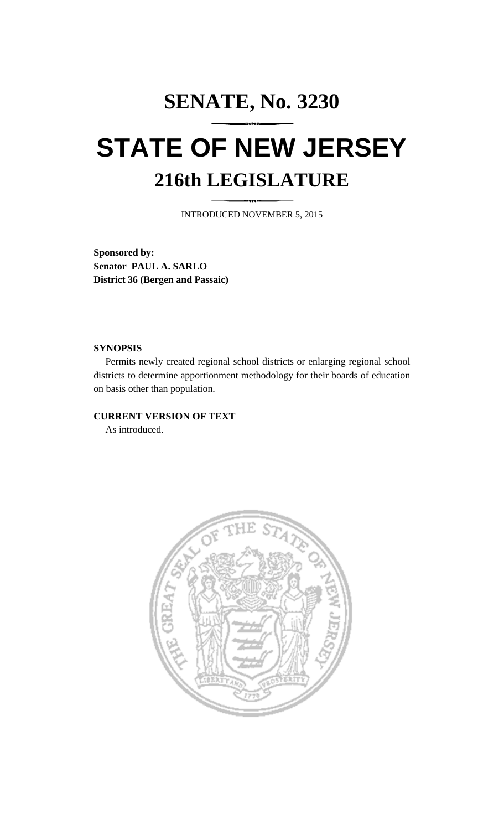# **SENATE, No. 3230 STATE OF NEW JERSEY 216th LEGISLATURE**

INTRODUCED NOVEMBER 5, 2015

**Sponsored by: Senator PAUL A. SARLO District 36 (Bergen and Passaic)**

### **SYNOPSIS**

Permits newly created regional school districts or enlarging regional school districts to determine apportionment methodology for their boards of education on basis other than population.

## **CURRENT VERSION OF TEXT**

As introduced.

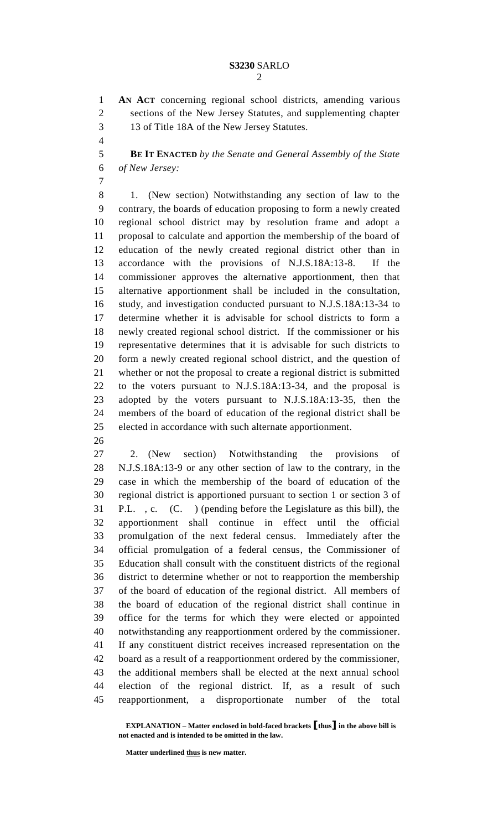**AN ACT** concerning regional school districts, amending various sections of the New Jersey Statutes, and supplementing chapter 13 of Title 18A of the New Jersey Statutes.

 **BE IT ENACTED** *by the Senate and General Assembly of the State of New Jersey:*

 1. (New section) Notwithstanding any section of law to the contrary, the boards of education proposing to form a newly created regional school district may by resolution frame and adopt a proposal to calculate and apportion the membership of the board of education of the newly created regional district other than in accordance with the provisions of N.J.S.18A:13-8. If the commissioner approves the alternative apportionment, then that alternative apportionment shall be included in the consultation, study, and investigation conducted pursuant to N.J.S.18A:13-34 to determine whether it is advisable for school districts to form a newly created regional school district. If the commissioner or his representative determines that it is advisable for such districts to form a newly created regional school district, and the question of whether or not the proposal to create a regional district is submitted to the voters pursuant to N.J.S.18A:13-34, and the proposal is adopted by the voters pursuant to N.J.S.18A:13-35, then the members of the board of education of the regional district shall be elected in accordance with such alternate apportionment.

 2. (New section) Notwithstanding the provisions of N.J.S.18A:13-9 or any other section of law to the contrary, in the case in which the membership of the board of education of the regional district is apportioned pursuant to section 1 or section 3 of P.L. , c. (C. ) (pending before the Legislature as this bill), the apportionment shall continue in effect until the official promulgation of the next federal census. Immediately after the official promulgation of a federal census, the Commissioner of Education shall consult with the constituent districts of the regional district to determine whether or not to reapportion the membership of the board of education of the regional district. All members of the board of education of the regional district shall continue in office for the terms for which they were elected or appointed notwithstanding any reapportionment ordered by the commissioner. If any constituent district receives increased representation on the board as a result of a reapportionment ordered by the commissioner, the additional members shall be elected at the next annual school election of the regional district. If, as a result of such reapportionment, a disproportionate number of the total

**EXPLANATION – Matter enclosed in bold-faced brackets [thus] in the above bill is not enacted and is intended to be omitted in the law.**

**Matter underlined thus is new matter.**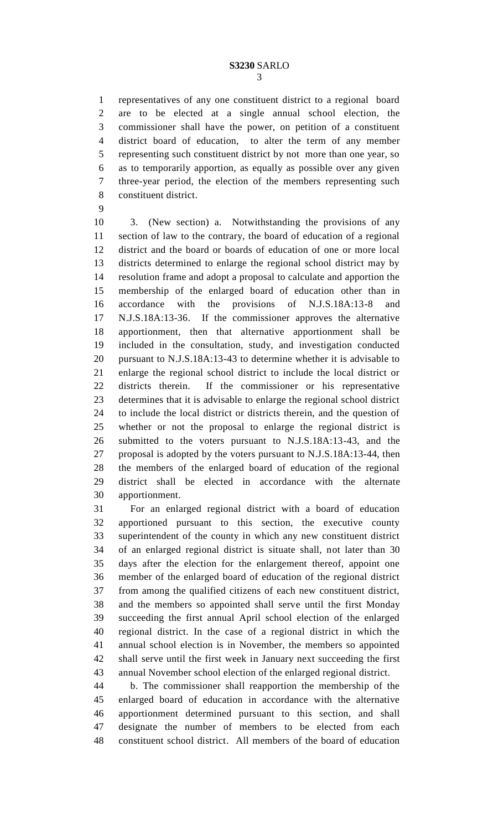representatives of any one constituent district to a regional board are to be elected at a single annual school election, the commissioner shall have the power, on petition of a constituent district board of education, to alter the term of any member representing such constituent district by not more than one year, so as to temporarily apportion, as equally as possible over any given three-year period, the election of the members representing such constituent district.

 3. (New section) a. Notwithstanding the provisions of any section of law to the contrary, the board of education of a regional district and the board or boards of education of one or more local districts determined to enlarge the regional school district may by resolution frame and adopt a proposal to calculate and apportion the membership of the enlarged board of education other than in accordance with the provisions of N.J.S.18A:13-8 and N.J.S.18A:13-36. If the commissioner approves the alternative apportionment, then that alternative apportionment shall be included in the consultation, study, and investigation conducted pursuant to N.J.S.18A:13-43 to determine whether it is advisable to enlarge the regional school district to include the local district or districts therein. If the commissioner or his representative determines that it is advisable to enlarge the regional school district to include the local district or districts therein, and the question of whether or not the proposal to enlarge the regional district is submitted to the voters pursuant to N.J.S.18A:13-43, and the proposal is adopted by the voters pursuant to N.J.S.18A:13-44, then the members of the enlarged board of education of the regional district shall be elected in accordance with the alternate apportionment.

 For an enlarged regional district with a board of education apportioned pursuant to this section, the executive county superintendent of the county in which any new constituent district of an enlarged regional district is situate shall, not later than 30 days after the election for the enlargement thereof, appoint one member of the enlarged board of education of the regional district from among the qualified citizens of each new constituent district, and the members so appointed shall serve until the first Monday succeeding the first annual April school election of the enlarged regional district. In the case of a regional district in which the annual school election is in November, the members so appointed shall serve until the first week in January next succeeding the first annual November school election of the enlarged regional district.

 b. The commissioner shall reapportion the membership of the enlarged board of education in accordance with the alternative apportionment determined pursuant to this section, and shall designate the number of members to be elected from each constituent school district. All members of the board of education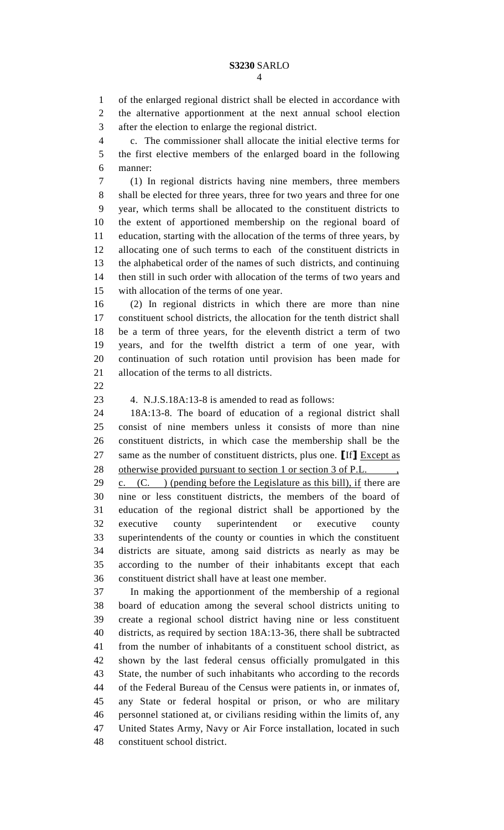of the enlarged regional district shall be elected in accordance with the alternative apportionment at the next annual school election after the election to enlarge the regional district.

 c. The commissioner shall allocate the initial elective terms for the first elective members of the enlarged board in the following manner:

 (1) In regional districts having nine members, three members shall be elected for three years, three for two years and three for one year, which terms shall be allocated to the constituent districts to the extent of apportioned membership on the regional board of education, starting with the allocation of the terms of three years, by allocating one of such terms to each of the constituent districts in the alphabetical order of the names of such districts, and continuing then still in such order with allocation of the terms of two years and with allocation of the terms of one year.

 (2) In regional districts in which there are more than nine constituent school districts, the allocation for the tenth district shall be a term of three years, for the eleventh district a term of two years, and for the twelfth district a term of one year, with continuation of such rotation until provision has been made for allocation of the terms to all districts.

## 4. N.J.S.18A:13-8 is amended to read as follows:

 18A:13-8. The board of education of a regional district shall consist of nine members unless it consists of more than nine constituent districts, in which case the membership shall be the same as the number of constituent districts, plus one. **[**If**]** Except as 28 otherwise provided pursuant to section 1 or section 3 of P.L. 29 c.  $(C. )$  (pending before the Legislature as this bill), if there are nine or less constituent districts, the members of the board of education of the regional district shall be apportioned by the executive county superintendent or executive county superintendents of the county or counties in which the constituent districts are situate, among said districts as nearly as may be according to the number of their inhabitants except that each constituent district shall have at least one member.

 In making the apportionment of the membership of a regional board of education among the several school districts uniting to create a regional school district having nine or less constituent districts, as required by section 18A:13-36, there shall be subtracted from the number of inhabitants of a constituent school district, as shown by the last federal census officially promulgated in this State, the number of such inhabitants who according to the records of the Federal Bureau of the Census were patients in, or inmates of, any State or federal hospital or prison, or who are military personnel stationed at, or civilians residing within the limits of, any United States Army, Navy or Air Force installation, located in such constituent school district.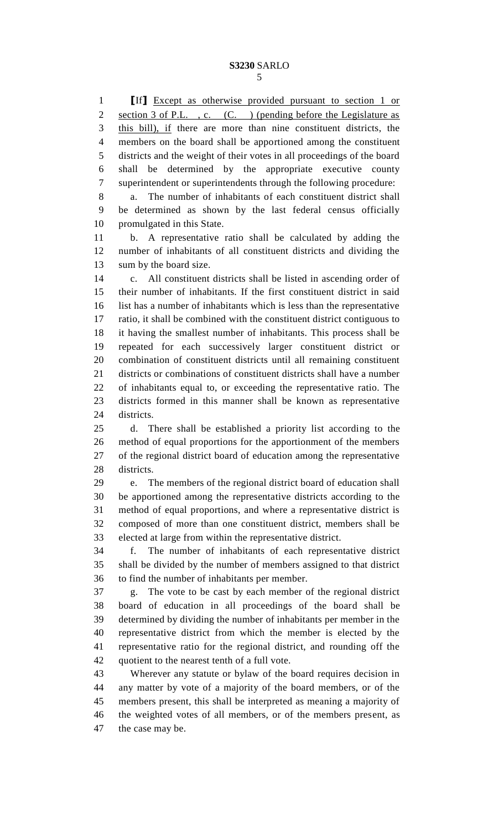**[**If**]** Except as otherwise provided pursuant to section 1 or 2 section 3 of P.L., c. (C.) (pending before the Legislature as

3 this bill), if there are more than nine constituent districts, the members on the board shall be apportioned among the constituent districts and the weight of their votes in all proceedings of the board shall be determined by the appropriate executive county superintendent or superintendents through the following procedure:

 a. The number of inhabitants of each constituent district shall be determined as shown by the last federal census officially promulgated in this State.

 b. A representative ratio shall be calculated by adding the number of inhabitants of all constituent districts and dividing the sum by the board size.

 c. All constituent districts shall be listed in ascending order of their number of inhabitants. If the first constituent district in said list has a number of inhabitants which is less than the representative ratio, it shall be combined with the constituent district contiguous to it having the smallest number of inhabitants. This process shall be repeated for each successively larger constituent district or combination of constituent districts until all remaining constituent districts or combinations of constituent districts shall have a number of inhabitants equal to, or exceeding the representative ratio. The districts formed in this manner shall be known as representative districts.

 d. There shall be established a priority list according to the method of equal proportions for the apportionment of the members of the regional district board of education among the representative districts.

 e. The members of the regional district board of education shall be apportioned among the representative districts according to the method of equal proportions, and where a representative district is composed of more than one constituent district, members shall be elected at large from within the representative district.

 f. The number of inhabitants of each representative district shall be divided by the number of members assigned to that district to find the number of inhabitants per member.

 g. The vote to be cast by each member of the regional district board of education in all proceedings of the board shall be determined by dividing the number of inhabitants per member in the representative district from which the member is elected by the representative ratio for the regional district, and rounding off the quotient to the nearest tenth of a full vote.

 Wherever any statute or bylaw of the board requires decision in any matter by vote of a majority of the board members, or of the members present, this shall be interpreted as meaning a majority of the weighted votes of all members, or of the members present, as the case may be.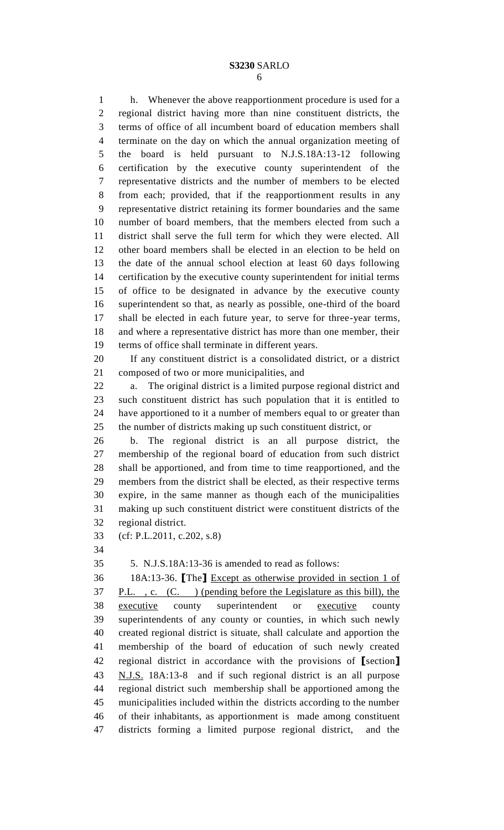h. Whenever the above reapportionment procedure is used for a regional district having more than nine constituent districts, the terms of office of all incumbent board of education members shall terminate on the day on which the annual organization meeting of the board is held pursuant to N.J.S.18A:13-12 following certification by the executive county superintendent of the representative districts and the number of members to be elected from each; provided, that if the reapportionment results in any representative district retaining its former boundaries and the same number of board members, that the members elected from such a district shall serve the full term for which they were elected. All other board members shall be elected in an election to be held on the date of the annual school election at least 60 days following certification by the executive county superintendent for initial terms of office to be designated in advance by the executive county superintendent so that, as nearly as possible, one-third of the board shall be elected in each future year, to serve for three-year terms, and where a representative district has more than one member, their terms of office shall terminate in different years.

 If any constituent district is a consolidated district, or a district composed of two or more municipalities, and

 a. The original district is a limited purpose regional district and such constituent district has such population that it is entitled to have apportioned to it a number of members equal to or greater than the number of districts making up such constituent district, or

 b. The regional district is an all purpose district, the membership of the regional board of education from such district shall be apportioned, and from time to time reapportioned, and the members from the district shall be elected, as their respective terms expire, in the same manner as though each of the municipalities making up such constituent district were constituent districts of the regional district.

(cf: P.L.2011, c.202, s.8)

5. N.J.S.18A:13-36 is amended to read as follows:

 18A:13-36. **[**The**]** Except as otherwise provided in section 1 of P.L. , c. (C. ) (pending before the Legislature as this bill), the executive county superintendent or executive county superintendents of any county or counties, in which such newly created regional district is situate, shall calculate and apportion the membership of the board of education of such newly created regional district in accordance with the provisions of **[**section**]** N.J.S. 18A:13-8 and if such regional district is an all purpose regional district such membership shall be apportioned among the municipalities included within the districts according to the number of their inhabitants, as apportionment is made among constituent districts forming a limited purpose regional district, and the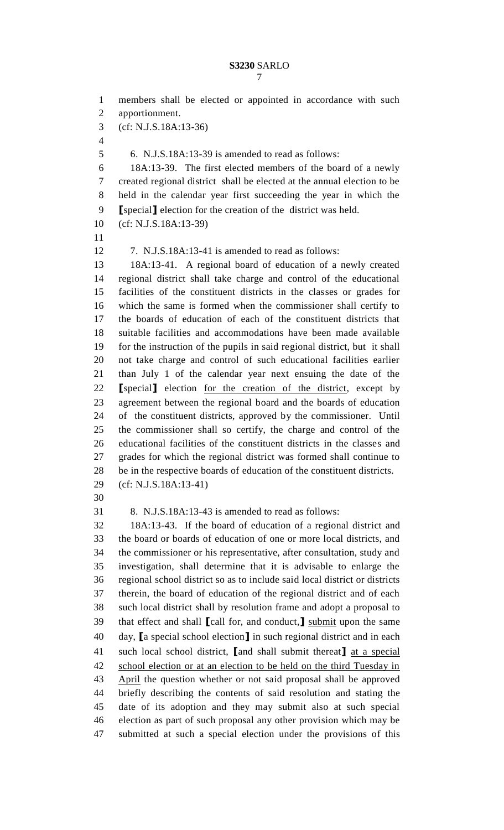members shall be elected or appointed in accordance with such apportionment. (cf: N.J.S.18A:13-36) 6. N.J.S.18A:13-39 is amended to read as follows: 18A:13-39. The first elected members of the board of a newly created regional district shall be elected at the annual election to be held in the calendar year first succeeding the year in which the **[**special**]** election for the creation of the district was held. (cf: N.J.S.18A:13-39) 7. N.J.S.18A:13-41 is amended to read as follows: 18A:13-41. A regional board of education of a newly created regional district shall take charge and control of the educational facilities of the constituent districts in the classes or grades for which the same is formed when the commissioner shall certify to the boards of education of each of the constituent districts that suitable facilities and accommodations have been made available for the instruction of the pupils in said regional district, but it shall not take charge and control of such educational facilities earlier than July 1 of the calendar year next ensuing the date of the **[**special**]** election for the creation of the district, except by agreement between the regional board and the boards of education of the constituent districts, approved by the commissioner. Until the commissioner shall so certify, the charge and control of the educational facilities of the constituent districts in the classes and grades for which the regional district was formed shall continue to be in the respective boards of education of the constituent districts. (cf: N.J.S.18A:13-41) 8. N.J.S.18A:13-43 is amended to read as follows: 18A:13-43. If the board of education of a regional district and the board or boards of education of one or more local districts, and the commissioner or his representative, after consultation, study and investigation, shall determine that it is advisable to enlarge the regional school district so as to include said local district or districts therein, the board of education of the regional district and of each such local district shall by resolution frame and adopt a proposal to that effect and shall **[**call for, and conduct,**]** submit upon the same day, **[**a special school election**]** in such regional district and in each such local school district, **[**and shall submit thereat**]** at a special school election or at an election to be held on the third Tuesday in April the question whether or not said proposal shall be approved briefly describing the contents of said resolution and stating the date of its adoption and they may submit also at such special election as part of such proposal any other provision which may be submitted at such a special election under the provisions of this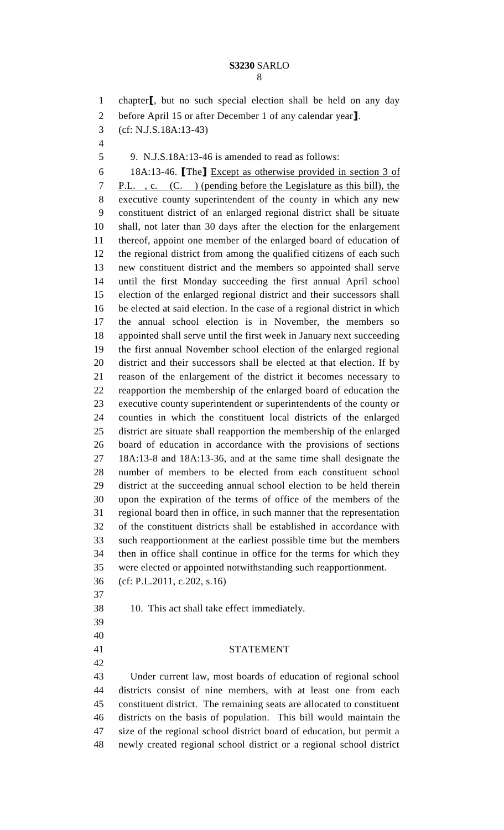| ٦<br>۰.<br>×<br>- |  |
|-------------------|--|
|                   |  |

 chapter**[**, but no such special election shall be held on any day before April 15 or after December 1 of any calendar year**]**. (cf: N.J.S.18A:13-43) 9. N.J.S.18A:13-46 is amended to read as follows: 18A:13-46. **[**The**]** Except as otherwise provided in section 3 of P.L. , c. (C. ) (pending before the Legislature as this bill), the executive county superintendent of the county in which any new constituent district of an enlarged regional district shall be situate shall, not later than 30 days after the election for the enlargement thereof, appoint one member of the enlarged board of education of the regional district from among the qualified citizens of each such new constituent district and the members so appointed shall serve until the first Monday succeeding the first annual April school election of the enlarged regional district and their successors shall be elected at said election. In the case of a regional district in which the annual school election is in November, the members so appointed shall serve until the first week in January next succeeding the first annual November school election of the enlarged regional district and their successors shall be elected at that election. If by reason of the enlargement of the district it becomes necessary to reapportion the membership of the enlarged board of education the executive county superintendent or superintendents of the county or counties in which the constituent local districts of the enlarged district are situate shall reapportion the membership of the enlarged board of education in accordance with the provisions of sections 18A:13-8 and 18A:13-36, and at the same time shall designate the number of members to be elected from each constituent school district at the succeeding annual school election to be held therein upon the expiration of the terms of office of the members of the regional board then in office, in such manner that the representation of the constituent districts shall be established in accordance with such reapportionment at the earliest possible time but the members then in office shall continue in office for the terms for which they were elected or appointed notwithstanding such reapportionment. (cf: P.L.2011, c.202, s.16) 10. This act shall take effect immediately. STATEMENT Under current law, most boards of education of regional school districts consist of nine members, with at least one from each constituent district. The remaining seats are allocated to constituent districts on the basis of population. This bill would maintain the size of the regional school district board of education, but permit a newly created regional school district or a regional school district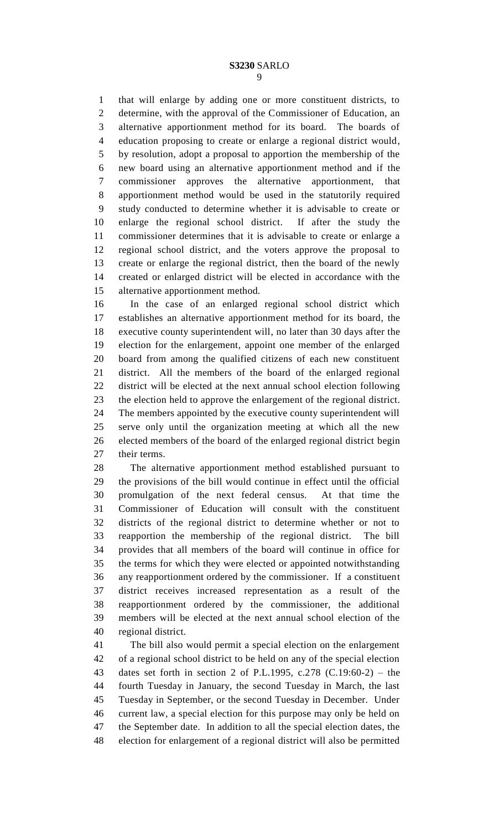that will enlarge by adding one or more constituent districts, to determine, with the approval of the Commissioner of Education, an alternative apportionment method for its board. The boards of education proposing to create or enlarge a regional district would, by resolution, adopt a proposal to apportion the membership of the new board using an alternative apportionment method and if the commissioner approves the alternative apportionment, that apportionment method would be used in the statutorily required study conducted to determine whether it is advisable to create or enlarge the regional school district. If after the study the commissioner determines that it is advisable to create or enlarge a regional school district, and the voters approve the proposal to create or enlarge the regional district, then the board of the newly created or enlarged district will be elected in accordance with the alternative apportionment method.

 In the case of an enlarged regional school district which establishes an alternative apportionment method for its board, the executive county superintendent will, no later than 30 days after the election for the enlargement, appoint one member of the enlarged board from among the qualified citizens of each new constituent district. All the members of the board of the enlarged regional district will be elected at the next annual school election following the election held to approve the enlargement of the regional district. The members appointed by the executive county superintendent will serve only until the organization meeting at which all the new elected members of the board of the enlarged regional district begin their terms.

 The alternative apportionment method established pursuant to the provisions of the bill would continue in effect until the official promulgation of the next federal census. At that time the Commissioner of Education will consult with the constituent districts of the regional district to determine whether or not to reapportion the membership of the regional district. The bill provides that all members of the board will continue in office for the terms for which they were elected or appointed notwithstanding any reapportionment ordered by the commissioner. If a constituent district receives increased representation as a result of the reapportionment ordered by the commissioner, the additional members will be elected at the next annual school election of the regional district.

 The bill also would permit a special election on the enlargement of a regional school district to be held on any of the special election dates set forth in section 2 of P.L.1995, c.278 (C.19:60-2) – the fourth Tuesday in January, the second Tuesday in March, the last Tuesday in September, or the second Tuesday in December. Under current law, a special election for this purpose may only be held on the September date. In addition to all the special election dates, the election for enlargement of a regional district will also be permitted